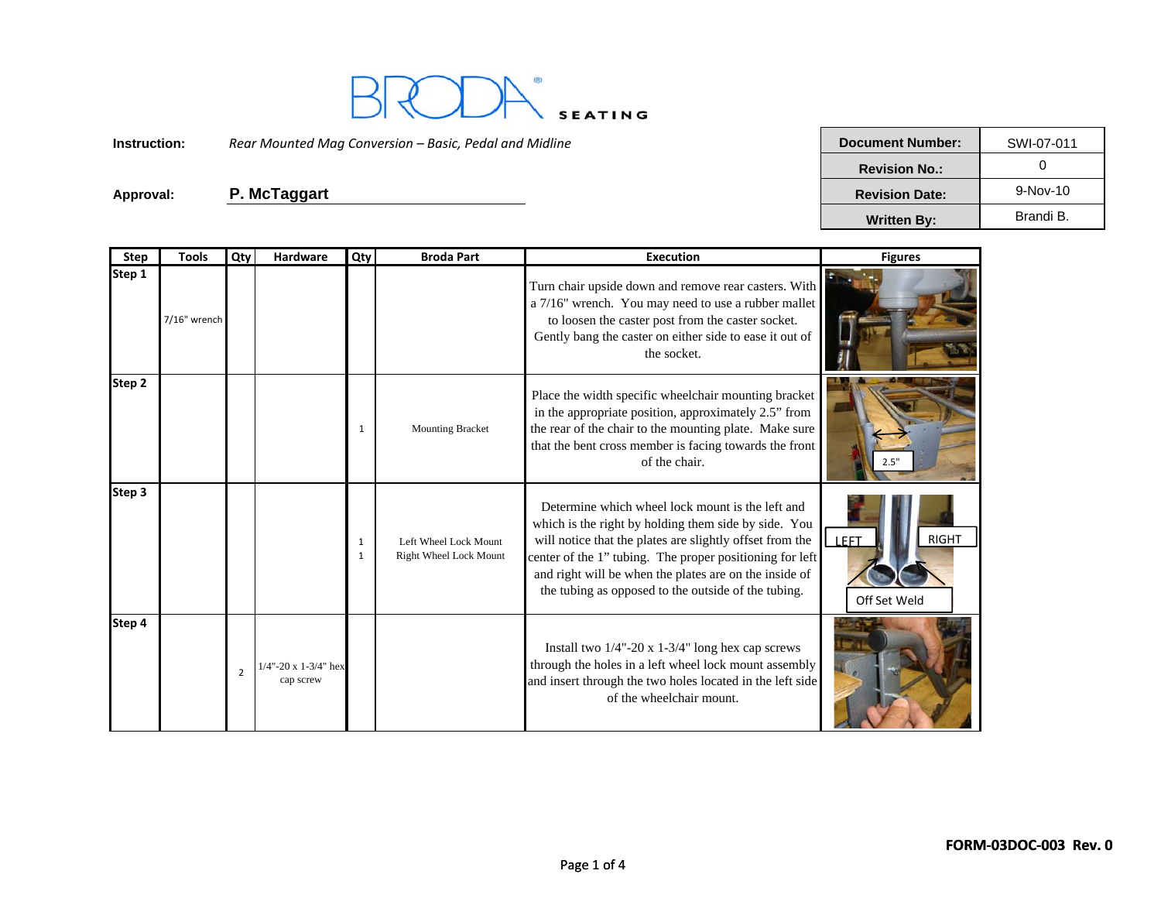

**Instruction:***Rear Mounted Mag Conversion – Basic, Pedal and Midline* **Document Number:** SWI-07-011

Approval: **P. McTaggart** 

| <b>Document Number:</b> | SWI-07-011 |
|-------------------------|------------|
| <b>Revision No.:</b>    |            |
| <b>Revision Date:</b>   | $9-Nov-10$ |
| <b>Written By:</b>      | Brandi B.  |

| <b>Step</b> | <b>Tools</b> | Qty            | Hardware                             | Qty               | <b>Broda Part</b>                                      | <b>Execution</b>                                                                                                                                                                                                                                                                                                                                  | <b>Figures</b>                |
|-------------|--------------|----------------|--------------------------------------|-------------------|--------------------------------------------------------|---------------------------------------------------------------------------------------------------------------------------------------------------------------------------------------------------------------------------------------------------------------------------------------------------------------------------------------------------|-------------------------------|
| Step 1      | 7/16" wrench |                |                                      |                   |                                                        | Turn chair upside down and remove rear casters. With<br>a 7/16" wrench. You may need to use a rubber mallet<br>to loosen the caster post from the caster socket.<br>Gently bang the caster on either side to ease it out of<br>the socket.                                                                                                        |                               |
| Step 2      |              |                |                                      | 1                 | <b>Mounting Bracket</b>                                | Place the width specific wheelchair mounting bracket<br>in the appropriate position, approximately 2.5" from<br>the rear of the chair to the mounting plate. Make sure<br>that the bent cross member is facing towards the front<br>of the chair.                                                                                                 | 2.5"                          |
| Step 3      |              |                |                                      | $\mathbf{1}$<br>1 | Left Wheel Lock Mount<br><b>Right Wheel Lock Mount</b> | Determine which wheel lock mount is the left and<br>which is the right by holding them side by side. You<br>will notice that the plates are slightly offset from the<br>center of the 1" tubing. The proper positioning for left<br>and right will be when the plates are on the inside of<br>the tubing as opposed to the outside of the tubing. | LEFT<br>RIGHT<br>Off Set Weld |
| Step 4      |              | $\overline{2}$ | $1/4$ "-20 x 1-3/4" hex<br>cap screw |                   |                                                        | Install two $1/4$ "-20 x $1-3/4$ " long hex cap screws<br>through the holes in a left wheel lock mount assembly<br>and insert through the two holes located in the left side<br>of the wheelchair mount.                                                                                                                                          |                               |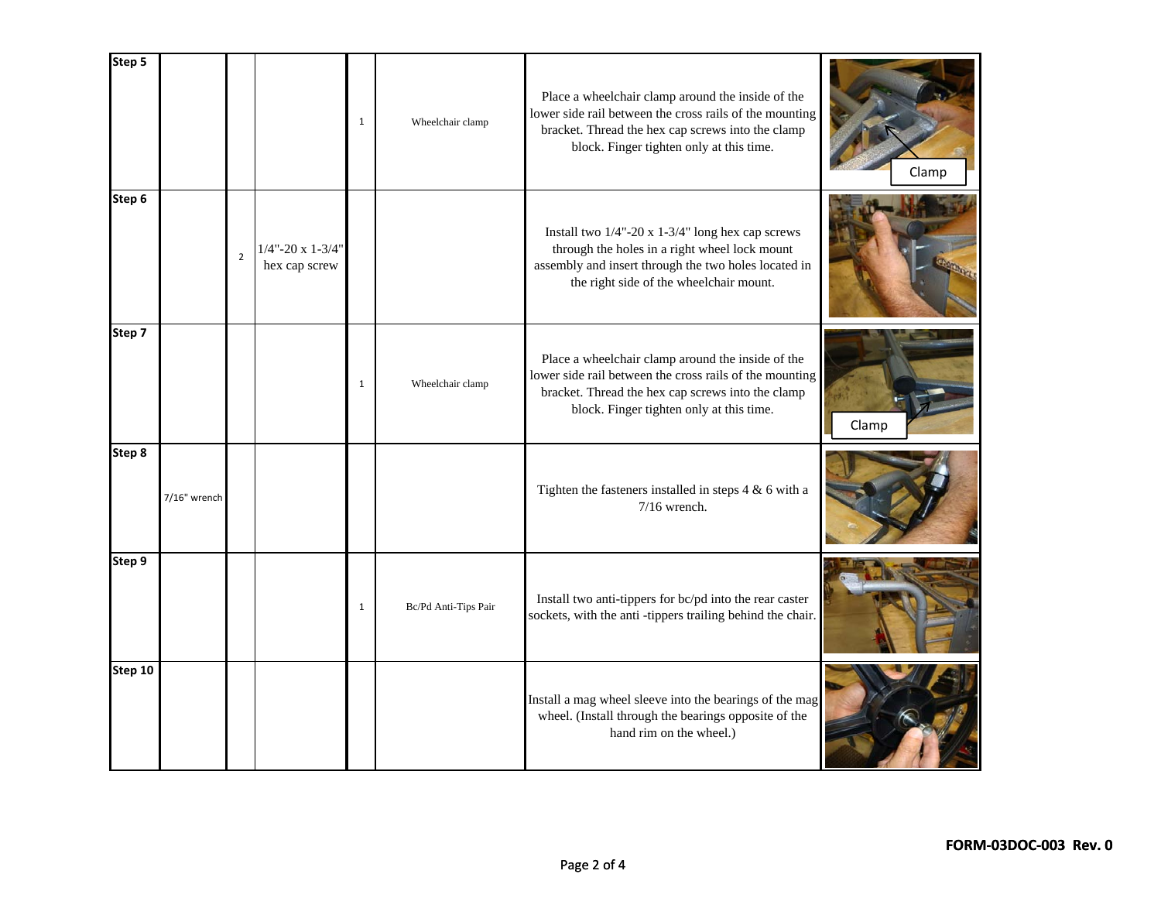| Step 5  |              |                |                                      | $\mathbf{1}$ | Wheelchair clamp     | Place a wheelchair clamp around the inside of the<br>lower side rail between the cross rails of the mounting<br>bracket. Thread the hex cap screws into the clamp<br>block. Finger tighten only at this time. | Clamp |
|---------|--------------|----------------|--------------------------------------|--------------|----------------------|---------------------------------------------------------------------------------------------------------------------------------------------------------------------------------------------------------------|-------|
| Step 6  |              | $\overline{2}$ | $1/4$ "-20 x 1-3/4"<br>hex cap screw |              |                      | Install two $1/4$ "-20 x 1-3/4" long hex cap screws<br>through the holes in a right wheel lock mount<br>assembly and insert through the two holes located in<br>the right side of the wheelchair mount.       |       |
| Step 7  |              |                |                                      | $\mathbf{1}$ | Wheelchair clamp     | Place a wheelchair clamp around the inside of the<br>lower side rail between the cross rails of the mounting<br>bracket. Thread the hex cap screws into the clamp<br>block. Finger tighten only at this time. | Clamp |
| Step 8  | 7/16" wrench |                |                                      |              |                      | Tighten the fasteners installed in steps $4 & 6$ with a<br>$7/16$ wrench.                                                                                                                                     |       |
| Step 9  |              |                |                                      | $\mathbf{1}$ | Bc/Pd Anti-Tips Pair | Install two anti-tippers for bc/pd into the rear caster<br>sockets, with the anti-tippers trailing behind the chair.                                                                                          |       |
| Step 10 |              |                |                                      |              |                      | Install a mag wheel sleeve into the bearings of the mag<br>wheel. (Install through the bearings opposite of the<br>hand rim on the wheel.)                                                                    |       |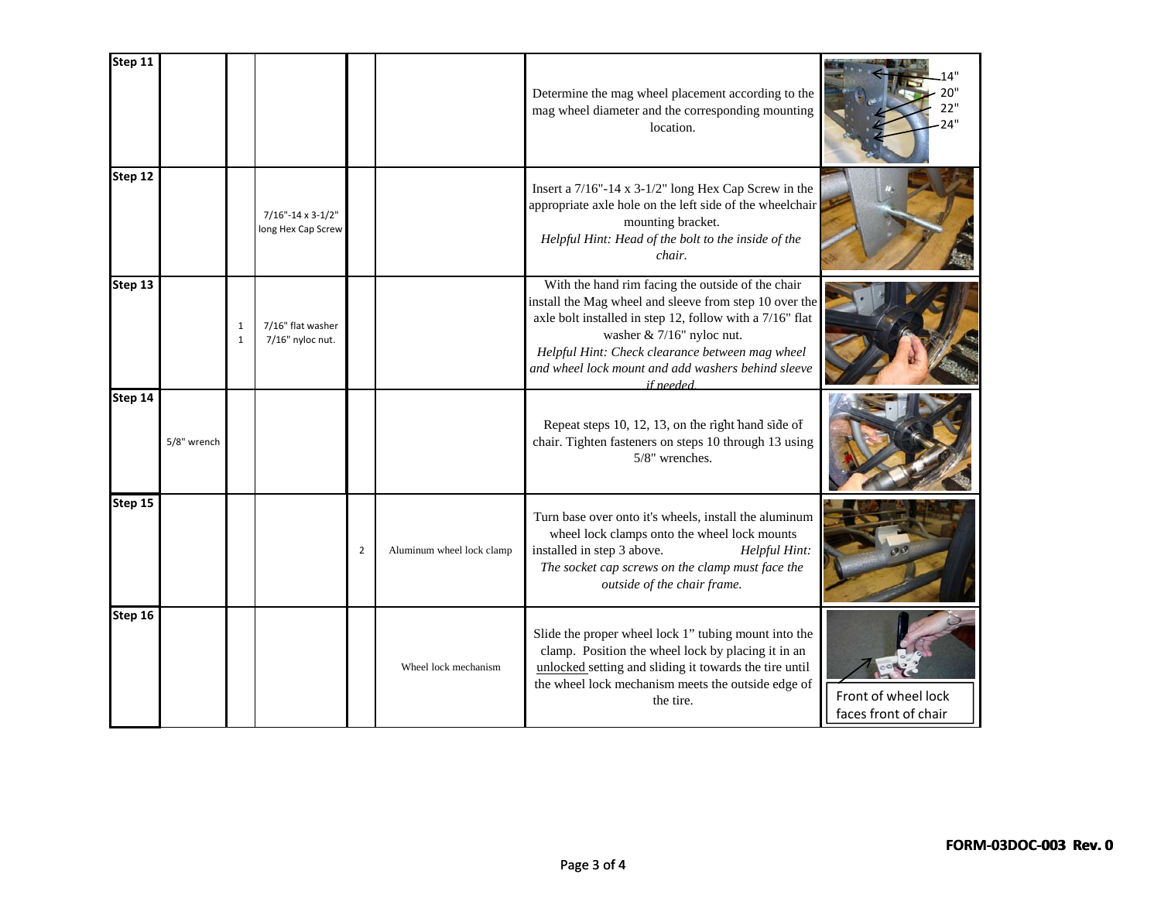| Step 11 |             |                             |                                         |                |                           |                                                                                                                                                                                                                                                                                                                             |                                             |
|---------|-------------|-----------------------------|-----------------------------------------|----------------|---------------------------|-----------------------------------------------------------------------------------------------------------------------------------------------------------------------------------------------------------------------------------------------------------------------------------------------------------------------------|---------------------------------------------|
|         |             |                             |                                         |                |                           | Determine the mag wheel placement according to the<br>mag wheel diameter and the corresponding mounting<br>location.                                                                                                                                                                                                        | יי 27<br>74"                                |
| Step 12 |             |                             | 7/16"-14 x 3-1/2"<br>long Hex Cap Screw |                |                           | Insert a $7/16$ "-14 x $3-1/2$ " long Hex Cap Screw in the<br>appropriate axle hole on the left side of the wheelchair<br>mounting bracket.<br>Helpful Hint: Head of the bolt to the inside of the<br>chair.                                                                                                                |                                             |
| Step 13 |             | $\mathbf 1$<br>$\mathbf{1}$ | 7/16" flat washer<br>7/16" nyloc nut.   |                |                           | With the hand rim facing the outside of the chair<br>install the Mag wheel and sleeve from step 10 over the<br>axle bolt installed in step 12, follow with a 7/16" flat<br>washer & 7/16" nyloc nut.<br>Helpful Hint: Check clearance between mag wheel<br>and wheel lock mount and add washers behind sleeve<br>if needed. |                                             |
| Step 14 | 5/8" wrench |                             |                                         |                |                           | Repeat steps 10, 12, 13, on the right hand side of<br>chair. Tighten fasteners on steps 10 through 13 using<br>5/8" wrenches.                                                                                                                                                                                               |                                             |
| Step 15 |             |                             |                                         | $\overline{2}$ | Aluminum wheel lock clamp | Turn base over onto it's wheels, install the aluminum<br>wheel lock clamps onto the wheel lock mounts<br>installed in step 3 above.<br>Helpful Hint:<br>The socket cap screws on the clamp must face the<br>outside of the chair frame.                                                                                     |                                             |
| Step 16 |             |                             |                                         |                | Wheel lock mechanism      | Slide the proper wheel lock 1" tubing mount into the<br>clamp. Position the wheel lock by placing it in an<br>unlocked setting and sliding it towards the tire until<br>the wheel lock mechanism meets the outside edge of<br>the tire.                                                                                     | Front of wheel lock<br>faces front of chair |